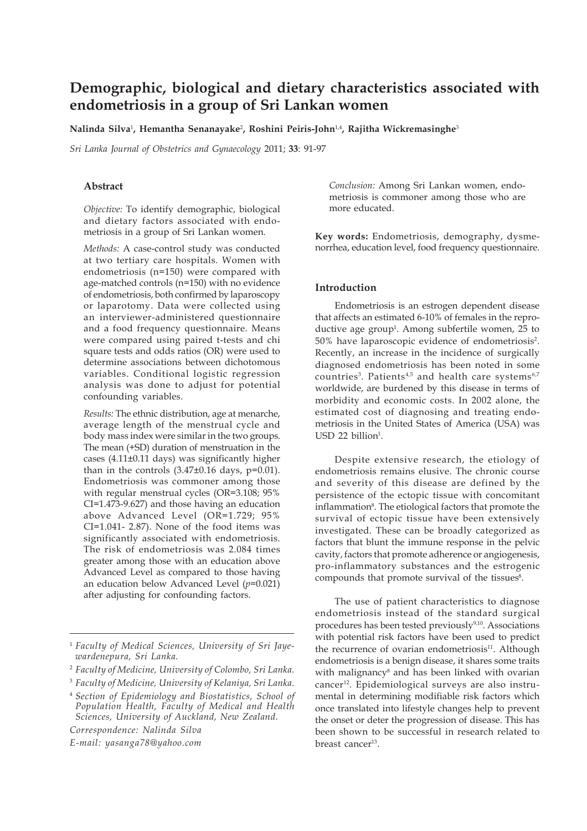# **Demographic, biological and dietary characteristics associated with endometriosis in a group of Sri Lankan women**

**Nalinda Silva**<sup>1</sup> **, Hemantha Senanayake**<sup>2</sup> **, Roshini Peiris-John**1,4**, Rajitha Wickremasinghe**<sup>3</sup>

*Sri Lanka Journal of Obstetrics and Gynaecology* 2011; **33**: 91-97

### **Abstract**

*Objective:* To identify demographic, biological and dietary factors associated with endometriosis in a group of Sri Lankan women.

*Methods:* A case-control study was conducted at two tertiary care hospitals. Women with endometriosis (n=150) were compared with age-matched controls (n=150) with no evidence of endometriosis, both confirmed by laparoscopy or laparotomy. Data were collected using an interviewer-administered questionnaire and a food frequency questionnaire. Means were compared using paired t-tests and chi square tests and odds ratios (OR) were used to determine associations between dichotomous variables. Conditional logistic regression analysis was done to adjust for potential confounding variables.

*Results:* The ethnic distribution, age at menarche, average length of the menstrual cycle and body mass index were similar in the two groups. The mean (+SD) duration of menstruation in the cases (4.11±0.11 days) was significantly higher than in the controls  $(3.47\pm0.16$  days,  $p=0.01$ ). Endometriosis was commoner among those with regular menstrual cycles (OR=3.108; 95% CI=1.473-9.627) and those having an education above Advanced Level (OR=1.729; 95% CI=1.041- 2.87). None of the food items was significantly associated with endometriosis. The risk of endometriosis was 2.084 times greater among those with an education above Advanced Level as compared to those having an education below Advanced Level (*p*=0.021) after adjusting for confounding factors.

*Correspondence: Nalinda Silva*

*E-mail: yasanga78@yahoo.com*

*Conclusion:* Among Sri Lankan women, endometriosis is commoner among those who are more educated.

**Key words:** Endometriosis, demography, dysmenorrhea, education level, food frequency questionnaire.

### **Introduction**

Endometriosis is an estrogen dependent disease that affects an estimated 6-10% of females in the reproductive age group<sup>1</sup>. Among subfertile women, 25 to 50% have laparoscopic evidence of endometriosis2. Recently, an increase in the incidence of surgically diagnosed endometriosis has been noted in some countries<sup>3</sup>. Patients<sup>4,5</sup> and health care systems<sup>6,7</sup> worldwide, are burdened by this disease in terms of morbidity and economic costs. In 2002 alone, the estimated cost of diagnosing and treating endometriosis in the United States of America (USA) was USD 22 billion<sup>1</sup>.

Despite extensive research, the etiology of endometriosis remains elusive. The chronic course and severity of this disease are defined by the persistence of the ectopic tissue with concomitant inflammation<sup>8</sup>. The etiological factors that promote the survival of ectopic tissue have been extensively investigated. These can be broadly categorized as factors that blunt the immune response in the pelvic cavity, factors that promote adherence or angiogenesis, pro-inflammatory substances and the estrogenic compounds that promote survival of the tissues<sup>8</sup>.

The use of patient characteristics to diagnose endometriosis instead of the standard surgical procedures has been tested previously<sup>9,10</sup>. Associations with potential risk factors have been used to predict the recurrence of ovarian endometriosis<sup>11</sup>. Although endometriosis is a benign disease, it shares some traits with malignancy<sup>8</sup> and has been linked with ovarian cancer<sup>12</sup>. Epidemiological surveys are also instrumental in determining modifiable risk factors which once translated into lifestyle changes help to prevent the onset or deter the progression of disease. This has been shown to be successful in research related to breast cancer13.

<sup>1</sup> *Faculty of Medical Sciences, University of Sri Jayewardenepura, Sri Lanka.*

<sup>2</sup> *Faculty of Medicine, University of Colombo, Sri Lanka.*

<sup>3</sup> *Faculty of Medicine, University of Kelaniya, Sri Lanka.*

<sup>4</sup> *Section of Epidemiology and Biostatistics, School of Population Health, Faculty of Medical and Health Sciences, University of Auckland, New Zealand.*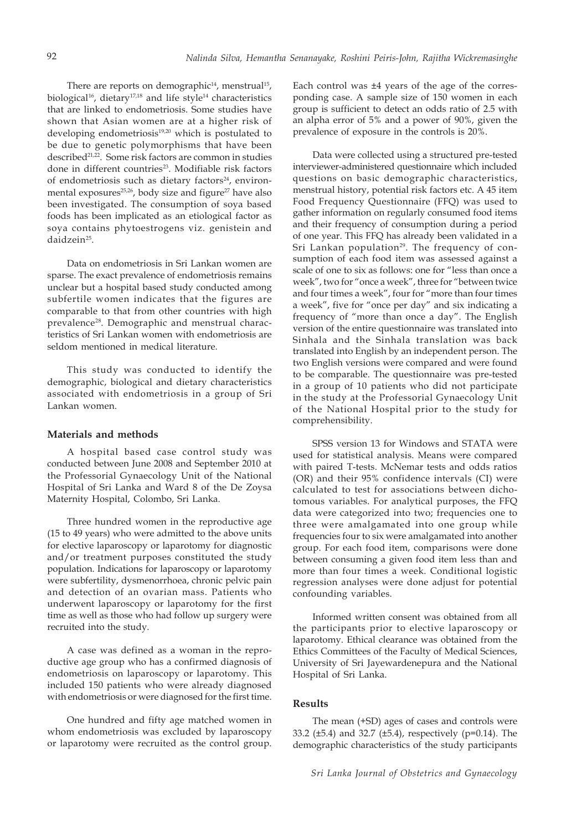There are reports on demographic<sup>14</sup>, menstrual<sup>15</sup>, biological<sup>16</sup>, dietary<sup>17,18</sup> and life style<sup>14</sup> characteristics that are linked to endometriosis. Some studies have shown that Asian women are at a higher risk of developing endometriosis<sup>19,20</sup> which is postulated to be due to genetic polymorphisms that have been described<sup>21,22</sup>. Some risk factors are common in studies done in different countries<sup>23</sup>. Modifiable risk factors of endometriosis such as dietary factors<sup>24</sup>, environmental exposures<sup>25,26</sup>, body size and figure<sup>27</sup> have also been investigated. The consumption of soya based foods has been implicated as an etiological factor as soya contains phytoestrogens viz. genistein and daidzein25.

Data on endometriosis in Sri Lankan women are sparse. The exact prevalence of endometriosis remains unclear but a hospital based study conducted among subfertile women indicates that the figures are comparable to that from other countries with high prevalence<sup>28</sup>. Demographic and menstrual characteristics of Sri Lankan women with endometriosis are seldom mentioned in medical literature.

This study was conducted to identify the demographic, biological and dietary characteristics associated with endometriosis in a group of Sri Lankan women.

#### **Materials and methods**

A hospital based case control study was conducted between June 2008 and September 2010 at the Professorial Gynaecology Unit of the National Hospital of Sri Lanka and Ward 8 of the De Zoysa Maternity Hospital, Colombo, Sri Lanka.

Three hundred women in the reproductive age (15 to 49 years) who were admitted to the above units for elective laparoscopy or laparotomy for diagnostic and/or treatment purposes constituted the study population. Indications for laparoscopy or laparotomy were subfertility, dysmenorrhoea, chronic pelvic pain and detection of an ovarian mass. Patients who underwent laparoscopy or laparotomy for the first time as well as those who had follow up surgery were recruited into the study.

A case was defined as a woman in the reproductive age group who has a confirmed diagnosis of endometriosis on laparoscopy or laparotomy. This included 150 patients who were already diagnosed with endometriosis or were diagnosed for the first time.

One hundred and fifty age matched women in whom endometriosis was excluded by laparoscopy or laparotomy were recruited as the control group.

Each control was ±4 years of the age of the corresponding case. A sample size of 150 women in each group is sufficient to detect an odds ratio of 2.5 with an alpha error of 5% and a power of 90%, given the prevalence of exposure in the controls is 20%.

Data were collected using a structured pre-tested interviewer-administered questionnaire which included questions on basic demographic characteristics, menstrual history, potential risk factors etc. A 45 item Food Frequency Questionnaire (FFQ) was used to gather information on regularly consumed food items and their frequency of consumption during a period of one year. This FFQ has already been validated in a Sri Lankan population<sup>29</sup>. The frequency of consumption of each food item was assessed against a scale of one to six as follows: one for "less than once a week", two for "once a week", three for "between twice and four times a week", four for "more than four times a week", five for "once per day" and six indicating a frequency of "more than once a day". The English version of the entire questionnaire was translated into Sinhala and the Sinhala translation was back translated into English by an independent person. The two English versions were compared and were found to be comparable. The questionnaire was pre-tested in a group of 10 patients who did not participate in the study at the Professorial Gynaecology Unit of the National Hospital prior to the study for comprehensibility.

SPSS version 13 for Windows and STATA were used for statistical analysis. Means were compared with paired T-tests. McNemar tests and odds ratios (OR) and their 95% confidence intervals (CI) were calculated to test for associations between dichotomous variables. For analytical purposes, the FFQ data were categorized into two; frequencies one to three were amalgamated into one group while frequencies four to six were amalgamated into another group. For each food item, comparisons were done between consuming a given food item less than and more than four times a week. Conditional logistic regression analyses were done adjust for potential confounding variables.

Informed written consent was obtained from all the participants prior to elective laparoscopy or laparotomy. Ethical clearance was obtained from the Ethics Committees of the Faculty of Medical Sciences, University of Sri Jayewardenepura and the National Hospital of Sri Lanka.

### **Results**

The mean (+SD) ages of cases and controls were 33.2 (±5.4) and 32.7 (±5.4), respectively (p=0.14). The demographic characteristics of the study participants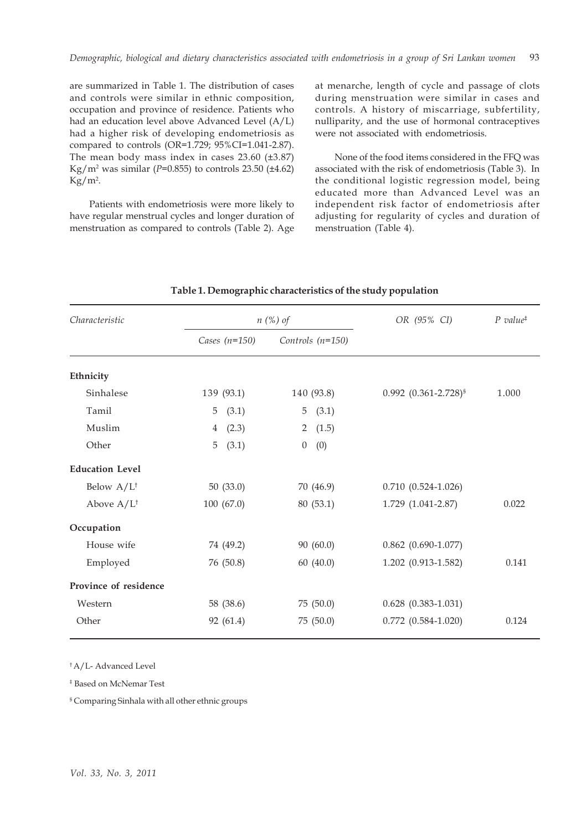are summarized in Table 1. The distribution of cases and controls were similar in ethnic composition, occupation and province of residence. Patients who had an education level above Advanced Level (A/L) had a higher risk of developing endometriosis as compared to controls (OR=1.729; 95%CI=1.041-2.87). The mean body mass index in cases 23.60 (±3.87) Kg/m2 was similar (*P*=0.855) to controls 23.50 (±4.62)  $\text{Kg/m}^2$ .

Patients with endometriosis were more likely to have regular menstrual cycles and longer duration of menstruation as compared to controls (Table 2). Age at menarche, length of cycle and passage of clots during menstruation were similar in cases and controls. A history of miscarriage, subfertility, nulliparity, and the use of hormonal contraceptives were not associated with endometriosis.

None of the food items considered in the FFQ was associated with the risk of endometriosis (Table 3). In the conditional logistic regression model, being educated more than Advanced Level was an independent risk factor of endometriosis after adjusting for regularity of cycles and duration of menstruation (Table 4).

| Characteristic         | $n$ (%) of              |                         | OR (95% CI)                   | $P$ value <sup><math>\ddagger</math></sup> |
|------------------------|-------------------------|-------------------------|-------------------------------|--------------------------------------------|
|                        | Cases $(n=150)$         | Controls $(n=150)$      |                               |                                            |
| Ethnicity              |                         |                         |                               |                                            |
| Sinhalese              | 139 (93.1)              | 140 (93.8)              | $0.992$ $(0.361 - 2.728)^{s}$ | 1.000                                      |
| Tamil                  | 5<br>(3.1)              | (3.1)<br>5              |                               |                                            |
| Muslim                 | (2.3)<br>$\overline{4}$ | (1.5)<br>$\overline{2}$ |                               |                                            |
| Other                  | 5<br>(3.1)              | $\boldsymbol{0}$<br>(0) |                               |                                            |
| <b>Education Level</b> |                         |                         |                               |                                            |
| Below $A/L^{\dagger}$  | 50(33.0)                | 70 (46.9)               | $0.710(0.524 - 1.026)$        |                                            |
| Above $A/L^{\dagger}$  | 100 (67.0)              | 80(53.1)                | 1.729 (1.041-2.87)            | 0.022                                      |
| Occupation             |                         |                         |                               |                                            |
| House wife             | 74 (49.2)               | 90(60.0)                | $0.862$ (0.690-1.077)         |                                            |
| Employed               | 76 (50.8)               | 60(40.0)                | 1.202 (0.913-1.582)           | 0.141                                      |
| Province of residence  |                         |                         |                               |                                            |
| Western                | 58 (38.6)               | 75 (50.0)               | $0.628$ $(0.383 - 1.031)$     |                                            |
| Other                  | 92 (61.4)               | 75 (50.0)               | $0.772$ $(0.584 - 1.020)$     | 0.124                                      |
|                        |                         |                         |                               |                                            |

### **Table 1. Demographic characteristics of the study population**

† A/L- Advanced Level

‡ Based on McNemar Test

§ Comparing Sinhala with all other ethnic groups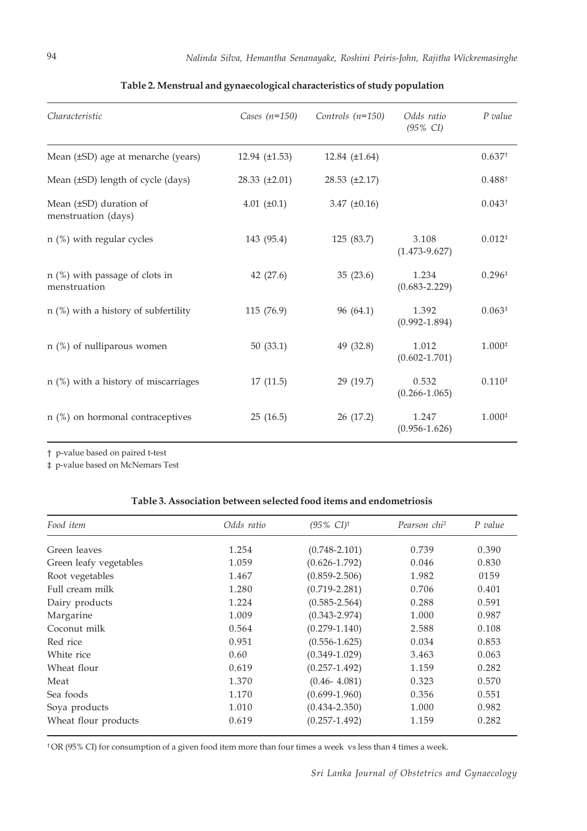| Characteristic                                   | Cases $(n=150)$      | Controls $(n=150)$   | Odds ratio<br>$(95\% \text{ CI})$ | $P$ value          |
|--------------------------------------------------|----------------------|----------------------|-----------------------------------|--------------------|
| Mean (±SD) age at menarche (years)               | 12.94 $(\pm 1.53)$   | 12.84 $(\pm 1.64)$   |                                   | 0.637 <sup>†</sup> |
| Mean (±SD) length of cycle (days)                | $28.33 \ (\pm 2.01)$ | $28.53 \ (\pm 2.17)$ |                                   | $0.488^{\dagger}$  |
| Mean (±SD) duration of<br>menstruation (days)    | 4.01 $(\pm 0.1)$     | 3.47 $(\pm 0.16)$    |                                   | 0.043 <sup>†</sup> |
| $n$ (%) with regular cycles                      | 143 (95.4)           | 125 (83.7)           | 3.108<br>$(1.473 - 9.627)$        | $0.012*$           |
| $n$ (%) with passage of clots in<br>menstruation | 42 (27.6)            | 35(23.6)             | 1.234<br>$(0.683 - 2.229)$        | $0.296*$           |
| $n$ (%) with a history of subfertility           | 115 (76.9)           | 96 (64.1)            | 1.392<br>$(0.992 - 1.894)$        | $0.063*$           |
| $n$ (%) of nulliparous women                     | 50(33.1)             | 49 (32.8)            | 1.012<br>$(0.602 - 1.701)$        | $1.000*$           |
| $n$ (%) with a history of miscarriages           | 17(11.5)             | 29 (19.7)            | 0.532<br>$(0.266 - 1.065)$        | $0.110*$           |
| $n$ (%) on hormonal contraceptives               | 25(16.5)             | 26 (17.2)            | 1.247<br>$(0.956 - 1.626)$        | $1.000*$           |
|                                                  |                      |                      |                                   |                    |

# **Table 2. Menstrual and gynaecological characteristics of study population**

† p-value based on paired t-test

‡ p-value based on McNemars Test

## **Table 3. Association between selected food items and endometriosis**

| Food item              | Odds ratio | $(95\% \text{ CI})^{\dagger}$ | Pearson chi <sup>2</sup> | P value |
|------------------------|------------|-------------------------------|--------------------------|---------|
| Green leaves           | 1.254      | $(0.748 - 2.101)$             | 0.739                    | 0.390   |
| Green leafy vegetables | 1.059      | $(0.626 - 1.792)$             | 0.046                    | 0.830   |
| Root vegetables        | 1.467      | $(0.859 - 2.506)$             | 1.982                    | 0159    |
| Full cream milk        | 1.280      | $(0.719 - 2.281)$             | 0.706                    | 0.401   |
| Dairy products         | 1.224      | $(0.585 - 2.564)$             | 0.288                    | 0.591   |
| Margarine              | 1.009      | $(0.343 - 2.974)$             | 1.000                    | 0.987   |
| Coconut milk           | 0.564      | $(0.279 - 1.140)$             | 2.588                    | 0.108   |
| Red rice               | 0.951      | $(0.556 - 1.625)$             | 0.034                    | 0.853   |
| White rice             | 0.60       | $(0.349 - 1.029)$             | 3.463                    | 0.063   |
| Wheat flour            | 0.619      | $(0.257 - 1.492)$             | 1.159                    | 0.282   |
| Meat                   | 1.370      | $(0.46 - 4.081)$              | 0.323                    | 0.570   |
| Sea foods              | 1.170      | $(0.699 - 1.960)$             | 0.356                    | 0.551   |
| Soya products          | 1.010      | $(0.434 - 2.350)$             | 1.000                    | 0.982   |
| Wheat flour products   | 0.619      | $(0.257 - 1.492)$             | 1.159                    | 0.282   |

† OR (95% CI) for consumption of a given food item more than four times a week vs less than 4 times a week.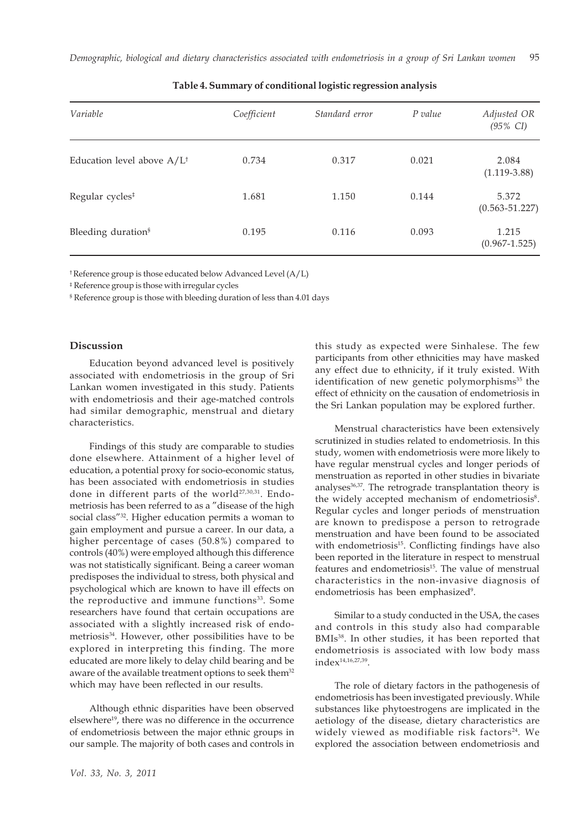| Variable                              | Coefficient | Standard error | P value | Adjusted OR<br>$(95\% \text{ CI})$ |
|---------------------------------------|-------------|----------------|---------|------------------------------------|
| Education level above $A/L^{\dagger}$ | 0.734       | 0.317          | 0.021   | 2.084<br>$(1.119-3.88)$            |
| Regular cycles <sup>#</sup>           | 1.681       | 1.150          | 0.144   | 5.372<br>$(0.563 - 51.227)$        |
| Bleeding duration <sup>§</sup>        | 0.195       | 0.116          | 0.093   | 1.215<br>$(0.967 - 1.525)$         |

### **Table 4. Summary of conditional logistic regression analysis**

† Reference group is those educated below Advanced Level (A/L)

‡ Reference group is those with irregular cycles

§ Reference group is those with bleeding duration of less than 4.01 days

### **Discussion**

Education beyond advanced level is positively associated with endometriosis in the group of Sri Lankan women investigated in this study. Patients with endometriosis and their age-matched controls had similar demographic, menstrual and dietary characteristics.

Findings of this study are comparable to studies done elsewhere. Attainment of a higher level of education, a potential proxy for socio-economic status, has been associated with endometriosis in studies done in different parts of the world<sup>27,30,31</sup>. Endometriosis has been referred to as a "disease of the high social class"32. Higher education permits a woman to gain employment and pursue a career. In our data, a higher percentage of cases (50.8%) compared to controls (40%) were employed although this difference was not statistically significant. Being a career woman predisposes the individual to stress, both physical and psychological which are known to have ill effects on the reproductive and immune functions<sup>33</sup>. Some researchers have found that certain occupations are associated with a slightly increased risk of endometriosis34. However, other possibilities have to be explored in interpreting this finding. The more educated are more likely to delay child bearing and be aware of the available treatment options to seek them<sup>32</sup> which may have been reflected in our results.

Although ethnic disparities have been observed elsewhere<sup>19</sup>, there was no difference in the occurrence of endometriosis between the major ethnic groups in our sample. The majority of both cases and controls in

this study as expected were Sinhalese. The few participants from other ethnicities may have masked any effect due to ethnicity, if it truly existed. With identification of new genetic polymorphisms<sup>35</sup> the effect of ethnicity on the causation of endometriosis in the Sri Lankan population may be explored further.

Menstrual characteristics have been extensively scrutinized in studies related to endometriosis. In this study, women with endometriosis were more likely to have regular menstrual cycles and longer periods of menstruation as reported in other studies in bivariate analyses<sup>36,37</sup>. The retrograde transplantation theory is the widely accepted mechanism of endometriosis<sup>8</sup>. Regular cycles and longer periods of menstruation are known to predispose a person to retrograde menstruation and have been found to be associated with endometriosis<sup>15</sup>. Conflicting findings have also been reported in the literature in respect to menstrual features and endometriosis<sup>15</sup>. The value of menstrual characteristics in the non-invasive diagnosis of endometriosis has been emphasized<sup>9</sup>.

Similar to a study conducted in the USA, the cases and controls in this study also had comparable BMIs<sup>38</sup>. In other studies, it has been reported that endometriosis is associated with low body mass index14,16,27,39.

The role of dietary factors in the pathogenesis of endometriosis has been investigated previously. While substances like phytoestrogens are implicated in the aetiology of the disease, dietary characteristics are widely viewed as modifiable risk factors<sup>24</sup>. We explored the association between endometriosis and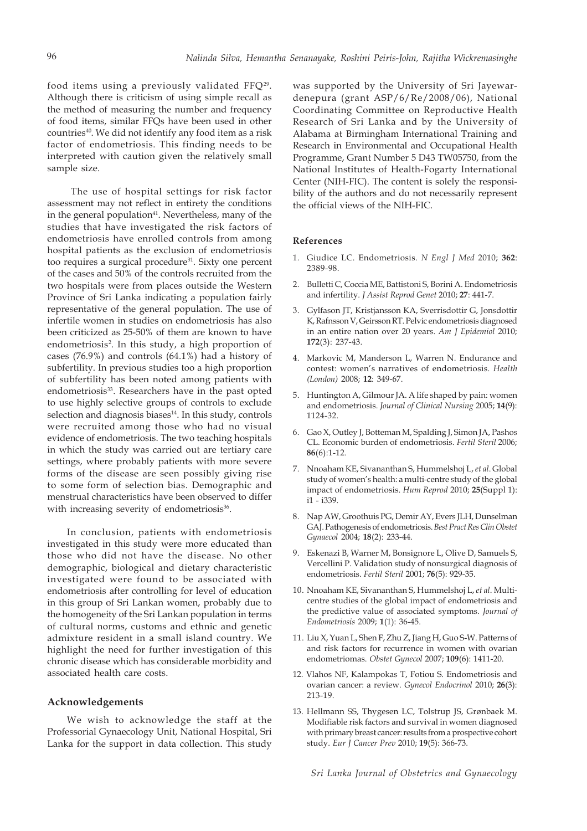food items using a previously validated FFQ29. Although there is criticism of using simple recall as the method of measuring the number and frequency of food items, similar FFQs have been used in other countries<sup>40</sup>. We did not identify any food item as a risk factor of endometriosis. This finding needs to be interpreted with caution given the relatively small sample size.

 The use of hospital settings for risk factor assessment may not reflect in entirety the conditions in the general population $41$ . Nevertheless, many of the studies that have investigated the risk factors of endometriosis have enrolled controls from among hospital patients as the exclusion of endometriosis too requires a surgical procedure<sup>31</sup>. Sixty one percent of the cases and 50% of the controls recruited from the two hospitals were from places outside the Western Province of Sri Lanka indicating a population fairly representative of the general population. The use of infertile women in studies on endometriosis has also been criticized as 25-50% of them are known to have endometriosis<sup>2</sup>. In this study, a high proportion of cases (76.9%) and controls (64.1%) had a history of subfertility. In previous studies too a high proportion of subfertility has been noted among patients with endometriosis<sup>33</sup>. Researchers have in the past opted to use highly selective groups of controls to exclude selection and diagnosis biases<sup>14</sup>. In this study, controls were recruited among those who had no visual evidence of endometriosis. The two teaching hospitals in which the study was carried out are tertiary care settings, where probably patients with more severe forms of the disease are seen possibly giving rise to some form of selection bias. Demographic and menstrual characteristics have been observed to differ with increasing severity of endometriosis<sup>36</sup>.

In conclusion, patients with endometriosis investigated in this study were more educated than those who did not have the disease. No other demographic, biological and dietary characteristic investigated were found to be associated with endometriosis after controlling for level of education in this group of Sri Lankan women, probably due to the homogeneity of the Sri Lankan population in terms of cultural norms, customs and ethnic and genetic admixture resident in a small island country. We highlight the need for further investigation of this chronic disease which has considerable morbidity and associated health care costs.

### **Acknowledgements**

We wish to acknowledge the staff at the Professorial Gynaecology Unit, National Hospital, Sri Lanka for the support in data collection. This study was supported by the University of Sri Jayewardenepura (grant ASP/6/Re/2008/06), National Coordinating Committee on Reproductive Health Research of Sri Lanka and by the University of Alabama at Birmingham International Training and Research in Environmental and Occupational Health Programme, Grant Number 5 D43 TW05750, from the National Institutes of Health-Fogarty International Center (NIH-FIC). The content is solely the responsibility of the authors and do not necessarily represent the official views of the NIH-FIC.

#### **References**

- 1. Giudice LC. Endometriosis. *N Engl J Med* 2010; **362**: 2389-98.
- 2. Bulletti C, Coccia ME, Battistoni S, Borini A. Endometriosis and infertility. *J Assist Reprod Genet* 2010; **27**: 441-7.
- 3. Gylfason JT, Kristjansson KA, Sverrisdottir G, Jonsdottir K, Rafnsson V, Geirsson RT. Pelvic endometriosis diagnosed in an entire nation over 20 years. *Am J Epidemiol* 2010; **172**(3): 237-43.
- 4. Markovic M, Manderson L, Warren N. Endurance and contest: women's narratives of endometriosis. *Health (London)* 2008; **12**: 349-67.
- 5. Huntington A, Gilmour JA. A life shaped by pain: women and endometriosis. *Journal of Clinical Nursing* 2005; **14**(9): 1124-32.
- 6. Gao X, Outley J, Botteman M, Spalding J, Simon JA, Pashos CL. Economic burden of endometriosis. *Fertil Steril* 2006; **86**(6):1-12.
- 7. Nnoaham KE, Sivananthan S, Hummelshoj L, *et al*. Global study of women's health: a multi-centre study of the global impact of endometriosis. *Hum Reprod* 2010; **25**(Suppl 1): i1 - i339.
- 8. Nap AW, Groothuis PG, Demir AY, Evers JLH, Dunselman GAJ. Pathogenesis of endometriosis. *Best Pract Res ClinObstet Gynaecol* 2004; **18**(2): 233-44.
- 9. Eskenazi B, Warner M, Bonsignore L, Olive D, Samuels S, Vercellini P. Validation study of nonsurgical diagnosis of endometriosis. *Fertil Steril* 2001; **76**(5): 929-35.
- 10. Nnoaham KE, Sivananthan S, Hummelshoj L, *et al*. Multicentre studies of the global impact of endometriosis and the predictive value of associated symptoms. *Journal of Endometriosis* 2009; **1**(1): 36-45.
- 11. Liu X, Yuan L, Shen F, Zhu Z, Jiang H, Guo S-W. Patterns of and risk factors for recurrence in women with ovarian endometriomas. *Obstet Gynecol* 2007; **109**(6): 1411-20.
- 12. Vlahos NF, Kalampokas T, Fotiou S. Endometriosis and ovarian cancer: a review. *Gynecol Endocrinol* 2010; **26**(3): 213-19.
- 13. Hellmann SS, Thygesen LC, Tolstrup JS, Grønbaek M. Modifiable risk factors and survival in women diagnosed with primary breast cancer: results from a prospective cohort study. *Eur J Cancer Prev* 2010; **19**(5): 366-73.

*Sri Lanka Journal of Obstetrics and Gynaecology*